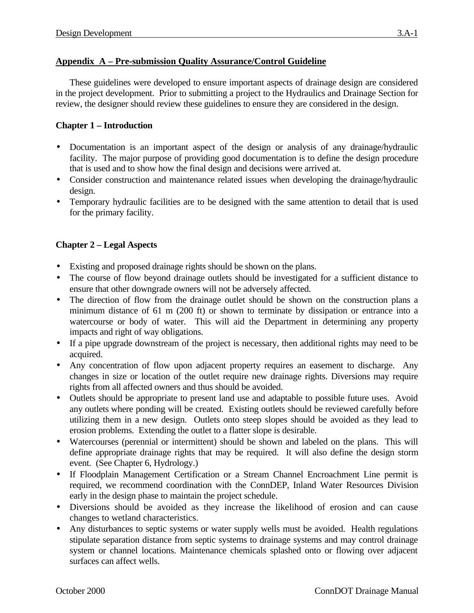### **Appendix A – Pre-submission Quality Assurance/Control Guideline**

These guidelines were developed to ensure important aspects of drainage design are considered in the project development. Prior to submitting a project to the Hydraulics and Drainage Section for review, the designer should review these guidelines to ensure they are considered in the design.

### **Chapter 1 – Introduction**

- Documentation is an important aspect of the design or analysis of any drainage/hydraulic facility. The major purpose of providing good documentation is to define the design procedure that is used and to show how the final design and decisions were arrived at.
- Consider construction and maintenance related issues when developing the drainage/hydraulic design.
- Temporary hydraulic facilities are to be designed with the same attention to detail that is used for the primary facility.

# **Chapter 2 – Legal Aspects**

- Existing and proposed drainage rights should be shown on the plans.
- The course of flow beyond drainage outlets should be investigated for a sufficient distance to ensure that other downgrade owners will not be adversely affected.
- The direction of flow from the drainage outlet should be shown on the construction plans a minimum distance of 61 m (200 ft) or shown to terminate by dissipation or entrance into a watercourse or body of water. This will aid the Department in determining any property impacts and right of way obligations.
- If a pipe upgrade downstream of the project is necessary, then additional rights may need to be acquired.
- Any concentration of flow upon adjacent property requires an easement to discharge. Any changes in size or location of the outlet require new drainage rights. Diversions may require rights from all affected owners and thus should be avoided.
- Outlets should be appropriate to present land use and adaptable to possible future uses. Avoid any outlets where ponding will be created. Existing outlets should be reviewed carefully before utilizing them in a new design. Outlets onto steep slopes should be avoided as they lead to erosion problems. Extending the outlet to a flatter slope is desirable.
- Watercourses (perennial or intermittent) should be shown and labeled on the plans. This will define appropriate drainage rights that may be required. It will also define the design storm event. (See Chapter 6, Hydrology.)
- If Floodplain Management Certification or a Stream Channel Encroachment Line permit is required, we recommend coordination with the ConnDEP, Inland Water Resources Division early in the design phase to maintain the project schedule.
- Diversions should be avoided as they increase the likelihood of erosion and can cause changes to wetland characteristics.
- Any disturbances to septic systems or water supply wells must be avoided. Health regulations stipulate separation distance from septic systems to drainage systems and may control drainage system or channel locations. Maintenance chemicals splashed onto or flowing over adjacent surfaces can affect wells.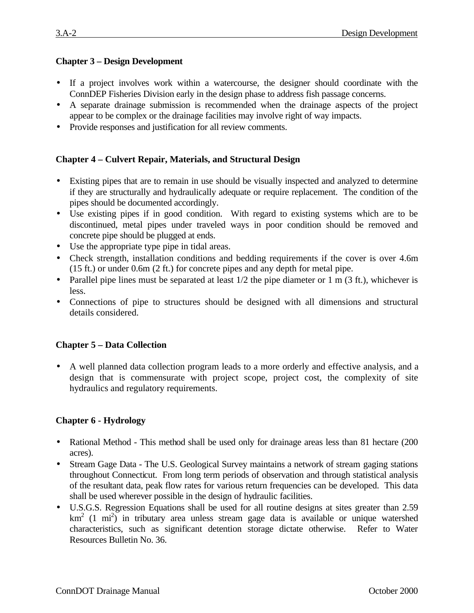# **Chapter 3 – Design Development**

- If a project involves work within a watercourse, the designer should coordinate with the ConnDEP Fisheries Division early in the design phase to address fish passage concerns.
- A separate drainage submission is recommended when the drainage aspects of the project appear to be complex or the drainage facilities may involve right of way impacts.
- Provide responses and justification for all review comments.

### **Chapter 4 – Culvert Repair, Materials, and Structural Design**

- Existing pipes that are to remain in use should be visually inspected and analyzed to determine if they are structurally and hydraulically adequate or require replacement. The condition of the pipes should be documented accordingly.
- Use existing pipes if in good condition. With regard to existing systems which are to be discontinued, metal pipes under traveled ways in poor condition should be removed and concrete pipe should be plugged at ends.
- Use the appropriate type pipe in tidal areas.
- Check strength, installation conditions and bedding requirements if the cover is over 4.6m (15 ft.) or under 0.6m (2 ft.) for concrete pipes and any depth for metal pipe.
- Parallel pipe lines must be separated at least  $1/2$  the pipe diameter or 1 m (3 ft.), whichever is less.
- Connections of pipe to structures should be designed with all dimensions and structural details considered.

# **Chapter 5 – Data Collection**

• A well planned data collection program leads to a more orderly and effective analysis, and a design that is commensurate with project scope, project cost, the complexity of site hydraulics and regulatory requirements.

# **Chapter 6 - Hydrology**

- Rational Method This method shall be used only for drainage areas less than 81 hectare (200) acres).
- Stream Gage Data The U.S. Geological Survey maintains a network of stream gaging stations throughout Connecticut. From long term periods of observation and through statistical analysis of the resultant data, peak flow rates for various return frequencies can be developed. This data shall be used wherever possible in the design of hydraulic facilities.
- U.S.G.S. Regression Equations shall be used for all routine designs at sites greater than 2.59  $km<sup>2</sup>$  (1 mi<sup>2</sup>) in tributary area unless stream gage data is available or unique watershed characteristics, such as significant detention storage dictate otherwise. Refer to Water Resources Bulletin No. 36.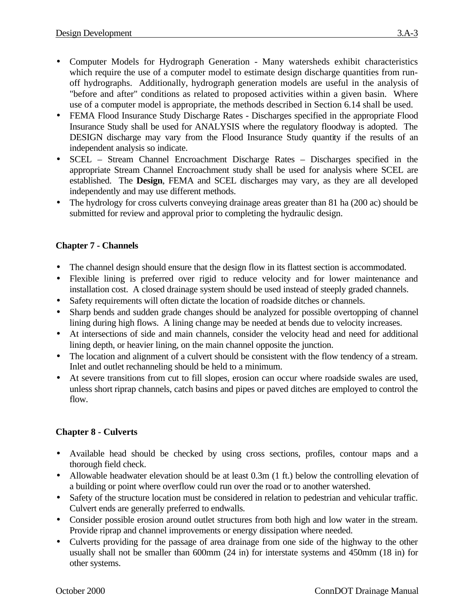- Computer Models for Hydrograph Generation Many watersheds exhibit characteristics which require the use of a computer model to estimate design discharge quantities from runoff hydrographs. Additionally, hydrograph generation models are useful in the analysis of "before and after" conditions as related to proposed activities within a given basin. Where use of a computer model is appropriate, the methods described in Section 6.14 shall be used.
- FEMA Flood Insurance Study Discharge Rates Discharges specified in the appropriate Flood Insurance Study shall be used for ANALYSIS where the regulatory floodway is adopted. The DESIGN discharge may vary from the Flood Insurance Study quantity if the results of an independent analysis so indicate.
- SCEL Stream Channel Encroachment Discharge Rates Discharges specified in the appropriate Stream Channel Encroachment study shall be used for analysis where SCEL are established. The **Design**, FEMA and SCEL discharges may vary, as they are all developed independently and may use different methods.
- The hydrology for cross culverts conveying drainage areas greater than 81 ha (200 ac) should be submitted for review and approval prior to completing the hydraulic design.

# **Chapter 7 - Channels**

- The channel design should ensure that the design flow in its flattest section is accommodated.
- Flexible lining is preferred over rigid to reduce velocity and for lower maintenance and installation cost. A closed drainage system should be used instead of steeply graded channels.
- Safety requirements will often dictate the location of roadside ditches or channels.
- Sharp bends and sudden grade changes should be analyzed for possible overtopping of channel lining during high flows. A lining change may be needed at bends due to velocity increases.
- At intersections of side and main channels, consider the velocity head and need for additional lining depth, or heavier lining, on the main channel opposite the junction.
- The location and alignment of a culvert should be consistent with the flow tendency of a stream. Inlet and outlet rechanneling should be held to a minimum.
- At severe transitions from cut to fill slopes, erosion can occur where roadside swales are used, unless short riprap channels, catch basins and pipes or paved ditches are employed to control the flow.

#### **Chapter 8 - Culverts**

- Available head should be checked by using cross sections, profiles, contour maps and a thorough field check.
- Allowable headwater elevation should be at least 0.3m (1 ft.) below the controlling elevation of a building or point where overflow could run over the road or to another watershed.
- Safety of the structure location must be considered in relation to pedestrian and vehicular traffic. Culvert ends are generally preferred to endwalls.
- Consider possible erosion around outlet structures from both high and low water in the stream. Provide riprap and channel improvements or energy dissipation where needed.
- Culverts providing for the passage of area drainage from one side of the highway to the other usually shall not be smaller than 600mm (24 in) for interstate systems and 450mm (18 in) for other systems.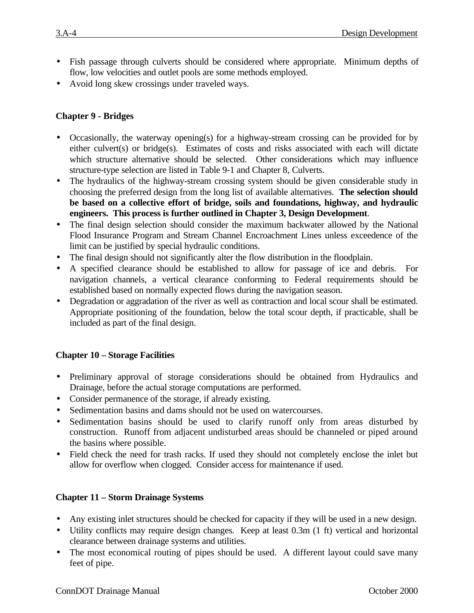- Fish passage through culverts should be considered where appropriate. Minimum depths of flow, low velocities and outlet pools are some methods employed.
- Avoid long skew crossings under traveled ways.

#### **Chapter 9 - Bridges**

- Occasionally, the waterway opening(s) for a highway-stream crossing can be provided for by either culvert(s) or bridge(s). Estimates of costs and risks associated with each will dictate which structure alternative should be selected. Other considerations which may influence structure-type selection are listed in Table 9-1 and Chapter 8, Culverts.
- The hydraulics of the highway-stream crossing system should be given considerable study in choosing the preferred design from the long list of available alternatives. **The selection should be based on a collective effort of bridge, soils and foundations, highway, and hydraulic engineers. This process is further outlined in Chapter 3, Design Development**.
- The final design selection should consider the maximum backwater allowed by the National Flood Insurance Program and Stream Channel Encroachment Lines unless exceedence of the limit can be justified by special hydraulic conditions.
- The final design should not significantly alter the flow distribution in the floodplain.
- A specified clearance should be established to allow for passage of ice and debris. For navigation channels, a vertical clearance conforming to Federal requirements should be established based on normally expected flows during the navigation season.
- Degradation or aggradation of the river as well as contraction and local scour shall be estimated. Appropriate positioning of the foundation, below the total scour depth, if practicable, shall be included as part of the final design.

#### **Chapter 10 – Storage Facilities**

- Preliminary approval of storage considerations should be obtained from Hydraulics and Drainage, before the actual storage computations are performed.
- Consider permanence of the storage, if already existing.
- Sedimentation basins and dams should not be used on watercourses.
- Sedimentation basins should be used to clarify runoff only from areas disturbed by construction. Runoff from adjacent undisturbed areas should be channeled or piped around the basins where possible.
- Field check the need for trash racks. If used they should not completely enclose the inlet but allow for overflow when clogged. Consider access for maintenance if used.

#### **Chapter 11 – Storm Drainage Systems**

- Any existing inlet structures should be checked for capacity if they will be used in a new design.
- Utility conflicts may require design changes. Keep at least 0.3m (1 ft) vertical and horizontal clearance between drainage systems and utilities.
- The most economical routing of pipes should be used. A different layout could save many feet of pipe.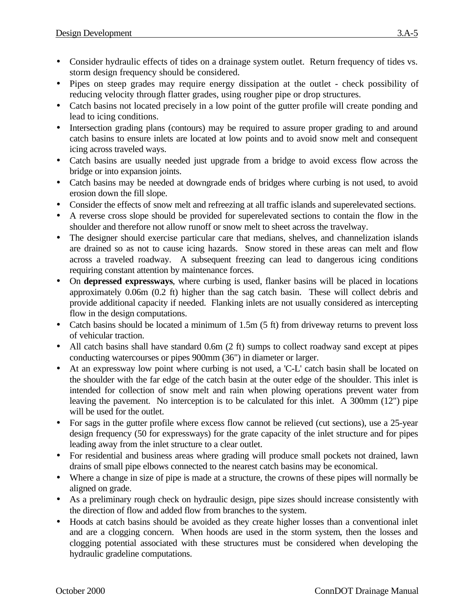- Consider hydraulic effects of tides on a drainage system outlet. Return frequency of tides vs. storm design frequency should be considered.
- Pipes on steep grades may require energy dissipation at the outlet check possibility of reducing velocity through flatter grades, using rougher pipe or drop structures.
- Catch basins not located precisely in a low point of the gutter profile will create ponding and lead to icing conditions.
- Intersection grading plans (contours) may be required to assure proper grading to and around catch basins to ensure inlets are located at low points and to avoid snow melt and consequent icing across traveled ways.
- Catch basins are usually needed just upgrade from a bridge to avoid excess flow across the bridge or into expansion joints.
- Catch basins may be needed at downgrade ends of bridges where curbing is not used, to avoid erosion down the fill slope.
- Consider the effects of snow melt and refreezing at all traffic islands and superelevated sections.
- A reverse cross slope should be provided for superelevated sections to contain the flow in the shoulder and therefore not allow runoff or snow melt to sheet across the travelway.
- The designer should exercise particular care that medians, shelves, and channelization islands are drained so as not to cause icing hazards. Snow stored in these areas can melt and flow across a traveled roadway. A subsequent freezing can lead to dangerous icing conditions requiring constant attention by maintenance forces.
- On **depressed expressways**, where curbing is used, flanker basins will be placed in locations approximately 0.06m (0.2 ft) higher than the sag catch basin. These will collect debris and provide additional capacity if needed. Flanking inlets are not usually considered as intercepting flow in the design computations.
- Catch basins should be located a minimum of 1.5m (5 ft) from driveway returns to prevent loss of vehicular traction.
- All catch basins shall have standard 0.6m (2 ft) sumps to collect roadway sand except at pipes conducting watercourses or pipes 900mm (36") in diameter or larger.
- At an expressway low point where curbing is not used, a 'C-L' catch basin shall be located on the shoulder with the far edge of the catch basin at the outer edge of the shoulder. This inlet is intended for collection of snow melt and rain when plowing operations prevent water from leaving the pavement. No interception is to be calculated for this inlet. A 300mm (12") pipe will be used for the outlet.
- For sags in the gutter profile where excess flow cannot be relieved (cut sections), use a 25-year design frequency (50 for expressways) for the grate capacity of the inlet structure and for pipes leading away from the inlet structure to a clear outlet.
- For residential and business areas where grading will produce small pockets not drained, lawn drains of small pipe elbows connected to the nearest catch basins may be economical.
- Where a change in size of pipe is made at a structure, the crowns of these pipes will normally be aligned on grade.
- As a preliminary rough check on hydraulic design, pipe sizes should increase consistently with the direction of flow and added flow from branches to the system.
- Hoods at catch basins should be avoided as they create higher losses than a conventional inlet and are a clogging concern. When hoods are used in the storm system, then the losses and clogging potential associated with these structures must be considered when developing the hydraulic gradeline computations.